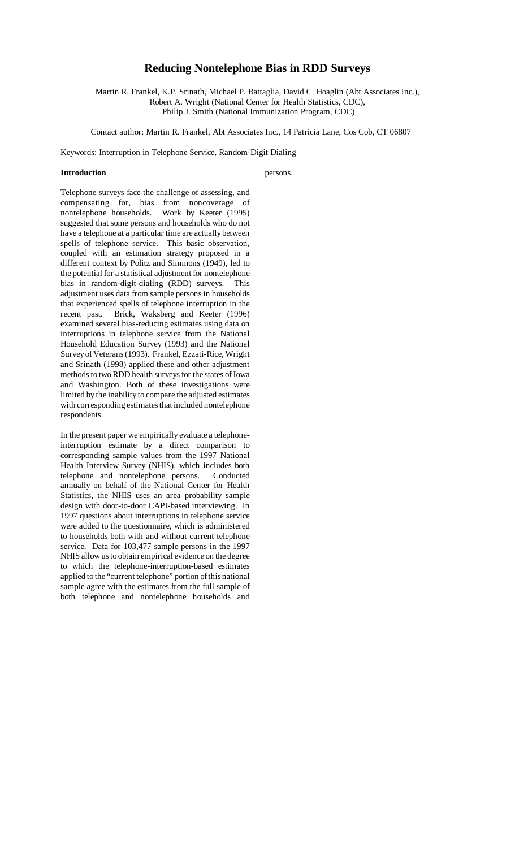# **Reducing Nontelephone Bias in RDD Surveys**

Martin R. Frankel, K.P. Srinath, Michael P. Battaglia, David C. Hoaglin (Abt Associates Inc.), Robert A. Wright (National Center for Health Statistics, CDC), Philip J. Smith (National Immunization Program, CDC)

Contact author: Martin R. Frankel, Abt Associates Inc., 14 Patricia Lane, Cos Cob, CT 06807

Keywords: Interruption in Telephone Service, Random-Digit Dialing

#### **Introduction** persons.

Telephone surveys face the challenge of assessing, and compensating for, bias from noncoverage of nontelephone households. Work by Keeter (1995) suggested that some persons and households who do not have a telephone at a particular time are actually between spells of telephone service. This basic observation, coupled with an estimation strategy proposed in a different context by Politz and Simmons (1949), led to the potential for a statistical adjustment for nontelephone bias in random-digit-dialing (RDD) surveys. This adjustment uses data from sample persons in households that experienced spells of telephone interruption in the recent past. Brick, Waksberg and Keeter (1996) examined several bias-reducing estimates using data on interruptions in telephone service from the National Household Education Survey (1993) and the National Survey of Veterans (1993). Frankel, Ezzati-Rice, Wright and Srinath (1998) applied these and other adjustment methods to two RDD health surveys for the states of Iowa and Washington. Both of these investigations were limited by the inability to compare the adjusted estimates with corresponding estimates that included nontelephone respondents.

In the present paper we empirically evaluate a telephoneinterruption estimate by a direct comparison to corresponding sample values from the 1997 National Health Interview Survey (NHIS), which includes both telephone and nontelephone persons. Conducted annually on behalf of the National Center for Health Statistics, the NHIS uses an area probability sample design with door-to-door CAPI-based interviewing. In 1997 questions about interruptions in telephone service were added to the questionnaire, which is administered to households both with and without current telephone service. Data for 103,477 sample persons in the 1997 NHIS allow us to obtain empirical evidence on the degree to which the telephone-interruption-based estimates applied to the "current telephone" portion of this national sample agree with the estimates from the full sample of both telephone and nontelephone households and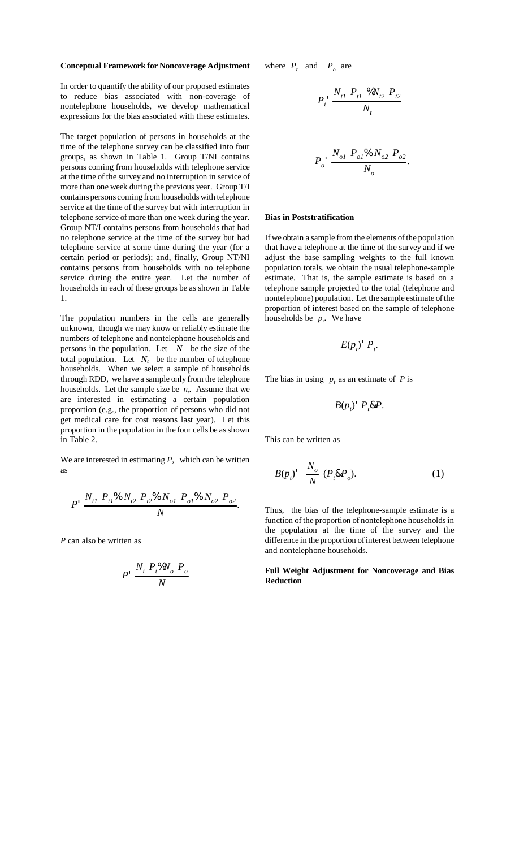#### **Conceptual Framework for Noncoverage Adjustment**

In order to quantify the ability of our proposed estimates to reduce bias associated with non-coverage of nontelephone households, we develop mathematical expressions for the bias associated with these estimates.

The target population of persons in households at the time of the telephone survey can be classified into four groups, as shown in Table 1. Group T/NI contains persons coming from households with telephone service at the time of the survey and no interruption in service of more than one week during the previous year. Group T/I contains persons coming from households with telephone service at the time of the survey but with interruption in telephone service of more than one week during the year. Group NT/I contains persons from households that had no telephone service at the time of the survey but had telephone service at some time during the year (for a certain period or periods); and, finally, Group NT/NI contains persons from households with no telephone service during the entire year. Let the number of households in each of these groups be as shown in Table 1.

The population numbers in the cells are generally unknown, though we may know or reliably estimate the numbers of telephone and nontelephone households and persons in the population. Let  $N$  be the size of the total population. Let  $N_t$  be the number of telephone households. When we select a sample of households through RDD, we have a sample only from the telephone households. Let the sample size be  $n_t$ . Assume that we are interested in estimating a certain population proportion (e.g., the proportion of persons who did not get medical care for cost reasons last year). Let this proportion in the population in the four cells be as shown in Table 2.

We are interested in estimating *P,* which can be written as

$$
P' \frac{N_{t1} P_{t1} \% N_{t2} P_{t2} \% N_{o1} P_{o1} \% N_{o2} P_{o2}}{N}.
$$

*P* can also be written as

$$
P' \frac{N_t P_t \% N_o P_o}{N}
$$

where  $P_t$  and  $P_o$  are

$$
P_t \frac{N_{t1} P_{t1} \% N_{t2} P_{t2}}{N_t}
$$

$$
P_o' \frac{N_{o1} P_{o1} \% N_{o2} P_{o2}}{N_o}.
$$

#### **Bias in Poststratification**

If we obtain a sample from the elements of the population that have a telephone at the time of the survey and if we adjust the base sampling weights to the full known population totals, we obtain the usual telephone-sample estimate. That is, the sample estimate is based on a telephone sample projected to the total (telephone and nontelephone) population. Let the sample estimate of the proportion of interest based on the sample of telephone households be  $p_t$ . We have

$$
E(p_i)^{\mathsf{T}} P_i.
$$

The bias in using  $p_t$  as an estimate of  $P$  is

$$
B(p_t)^{\mathsf{T}} P_t \& P.
$$

This can be written as

$$
B(p_t)^{\prime} \frac{N_o}{N} (P_t \& P_o). \tag{1}
$$

Thus, the bias of the telephone-sample estimate is a function of the proportion of nontelephone households in the population at the time of the survey and the difference in the proportion of interest between telephone and nontelephone households.

**Full Weight Adjustment for Noncoverage and Bias Reduction**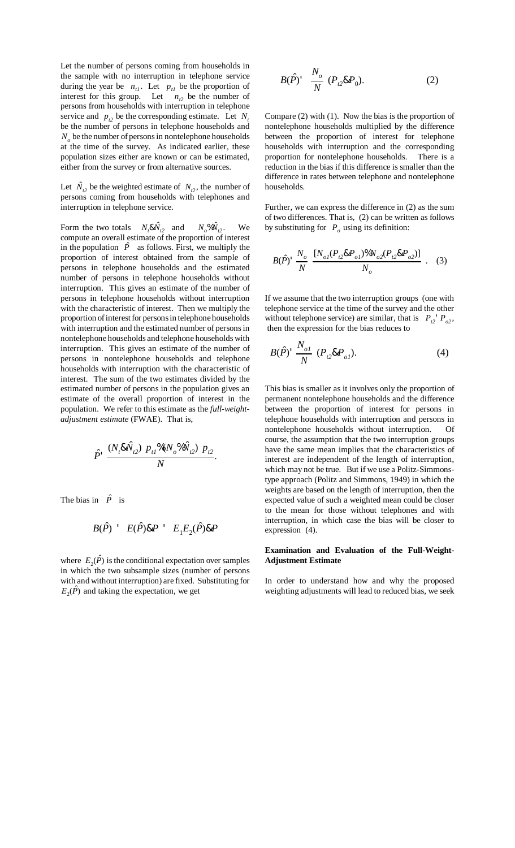Let the number of persons coming from households in the sample with no interruption in telephone service during the year be  $n_{t}$ . Let  $p_{t}$  be the proportion of interest for this group. Let  $n_{t2}$  be the number of persons from households with interruption in telephone service and  $p_{t2}$  be the corresponding estimate. Let  $N_t$ be the number of persons in telephone households and  $N<sub>o</sub>$  be the number of persons in nontelephone households at the time of the survey. As indicated earlier, these population sizes either are known or can be estimated, either from the survey or from alternative sources.

Let  $\hat{N}_{12}$  be the weighted estimate of  $N_{12}$ , the number of persons coming from households with telephones and interruption in telephone service.

Form the two totals  $N_i \& \hat{N_i}$  and  $N_o \& \hat{N_i}$  $t_2$ . We compute an overall estimate of the proportion of interest in the population  $\hat{P}$  as follows. First, we multiply the proportion of interest obtained from the sample of persons in telephone households and the estimated number of persons in telephone households without interruption. This gives an estimate of the number of persons in telephone households without interruption with the characteristic of interest. Then we multiply the proportion of interest for persons in telephone households with interruption and the estimated number of persons in nontelephone households and telephone households with interruption. This gives an estimate of the number of persons in nontelephone households and telephone households with interruption with the characteristic of interest. The sum of the two estimates divided by the estimated number of persons in the population gives an estimate of the overall proportion of interest in the population. We refer to this estimate as the *full-weightadjustment estimate* (FWAE). That is,

$$
\hat{P} \cdot \frac{(N_t \& \hat{N}_{t2}) P_{t1} \mathcal{N}(N_o \mathcal{N}_{t2}) P_{t2}}{N}.
$$

The bias in  $\hat{P}$  is

$$
B(\hat{P}) \quad E(\hat{P}) \& P \quad E_1 E_2(\hat{P}) \& P
$$

where  $E_2(\hat{P})$  is the conditional expectation over samples in which the two subsample sizes (number of persons with and without interruption) are fixed. Substituting for  $E_2(\hat{P})$  and taking the expectation, we get

$$
B(\hat{P})^{\dagger} \frac{N_o}{N} (P_{t2} \& P_0). \tag{2}
$$

Compare (2) with (1). Now the bias is the proportion of nontelephone households multiplied by the difference between the proportion of interest for telephone households with interruption and the corresponding proportion for nontelephone households. There is a reduction in the bias if this difference is smaller than the difference in rates between telephone and nontelephone households.

Further, we can express the difference in (2) as the sum of two differences. That is, (2) can be written as follows by substituting for  $P<sub>o</sub>$  using its definition:

$$
B(\hat{P}) \stackrel{N_o}{N} = \frac{[N_{ol}(P_{t2} \& P_{ol})\%N_{o2}(P_{t2} \& P_{o2})]}{N_o} \quad . \quad (3)
$$

If we assume that the two interruption groups (one with telephone service at the time of the survey and the other without telephone service) are similar, that is  $P_{t2}^{\prime}P_{t2}$ , then the expression for the bias reduces to

$$
B(\hat{P})^{\dagger} \frac{N_{ol}}{N} (P_{t2} \& P_{ol}). \tag{4}
$$

This bias is smaller as it involves only the proportion of permanent nontelephone households and the difference between the proportion of interest for persons in telephone households with interruption and persons in nontelephone households without interruption. Of course, the assumption that the two interruption groups have the same mean implies that the characteristics of interest are independent of the length of interruption, which may not be true. But if we use a Politz-Simmonstype approach (Politz and Simmons, 1949) in which the weights are based on the length of interruption, then the expected value of such a weighted mean could be closer to the mean for those without telephones and with interruption, in which case the bias will be closer to expression (4).

### **Examination and Evaluation of the Full-Weight-Adjustment Estimate**

In order to understand how and why the proposed weighting adjustments will lead to reduced bias, we seek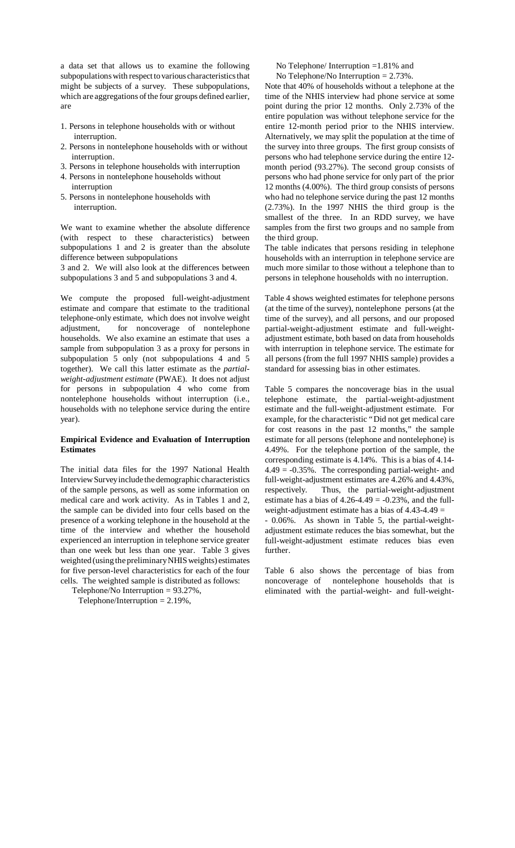a data set that allows us to examine the following subpopulations with respect to various characteristics that might be subjects of a survey. These subpopulations, which are aggregations of the four groups defined earlier, are

- 1. Persons in telephone households with or without interruption.
- 2. Persons in nontelephone households with or without interruption.
- 3. Persons in telephone households with interruption
- 4. Persons in nontelephone households without interruption
- 5. Persons in nontelephone households with interruption.

We want to examine whether the absolute difference (with respect to these characteristics) between subpopulations 1 and 2 is greater than the absolute difference between subpopulations

3 and 2. We will also look at the differences between subpopulations 3 and 5 and subpopulations 3 and 4.

We compute the proposed full-weight-adjustment estimate and compare that estimate to the traditional telephone-only estimate, which does not involve weight adjustment, for noncoverage of nontelephone households. We also examine an estimate that uses a sample from subpopulation 3 as a proxy for persons in subpopulation 5 only (not subpopulations 4 and 5 together). We call this latter estimate as the *partialweight-adjustment estimate* (PWAE). It does not adjust for persons in subpopulation 4 who come from nontelephone households without interruption (i.e., households with no telephone service during the entire year).

### **Empirical Evidence and Evaluation of Interruption Estimates**

The initial data files for the 1997 National Health Interview Survey include the demographic characteristics of the sample persons, as well as some information on medical care and work activity. As in Tables 1 and 2, the sample can be divided into four cells based on the presence of a working telephone in the household at the time of the interview and whether the household experienced an interruption in telephone service greater than one week but less than one year. Table 3 gives weighted (using the preliminary NHIS weights) estimates for five person-level characteristics for each of the four cells. The weighted sample is distributed as follows:

Telephone/No Interruption = 93.27%,

Telephone/Interruption  $= 2.19\%$ ,

No Telephone/ Interruption =1.81% and No Telephone/No Interruption = 2.73%.

Note that 40% of households without a telephone at the time of the NHIS interview had phone service at some point during the prior 12 months. Only 2.73% of the entire population was without telephone service for the entire 12-month period prior to the NHIS interview. Alternatively, we may split the population at the time of the survey into three groups. The first group consists of persons who had telephone service during the entire 12 month period (93.27%). The second group consists of persons who had phone service for only part of the prior 12 months (4.00%). The third group consists of persons who had no telephone service during the past 12 months (2.73%). In the 1997 NHIS the third group is the smallest of the three. In an RDD survey, we have samples from the first two groups and no sample from the third group.

The table indicates that persons residing in telephone households with an interruption in telephone service are much more similar to those without a telephone than to persons in telephone households with no interruption.

Table 4 shows weighted estimates for telephone persons (at the time of the survey), nontelephone persons (at the time of the survey), and all persons, and our proposed partial-weight-adjustment estimate and full-weightadjustment estimate, both based on data from households with interruption in telephone service. The estimate for all persons (from the full 1997 NHIS sample) provides a standard for assessing bias in other estimates.

Table 5 compares the noncoverage bias in the usual telephone estimate, the partial-weight-adjustment estimate and the full-weight-adjustment estimate. For example, for the characteristic "Did not get medical care for cost reasons in the past 12 months," the sample estimate for all persons (telephone and nontelephone) is 4.49%. For the telephone portion of the sample, the corresponding estimate is 4.14%. This is a bias of 4.14-  $4.49 = -0.35\%$ . The corresponding partial-weight- and full-weight-adjustment estimates are 4.26% and 4.43%, respectively. Thus, the partial-weight-adjustment estimate has a bias of  $4.26-4.49 = -0.23\%$ , and the fullweight-adjustment estimate has a bias of 4.43-4.49 = - 0.06%. As shown in Table 5, the partial-weightadjustment estimate reduces the bias somewhat, but the full-weight-adjustment estimate reduces bias even further.

Table 6 also shows the percentage of bias from noncoverage of nontelephone households that is eliminated with the partial-weight- and full-weight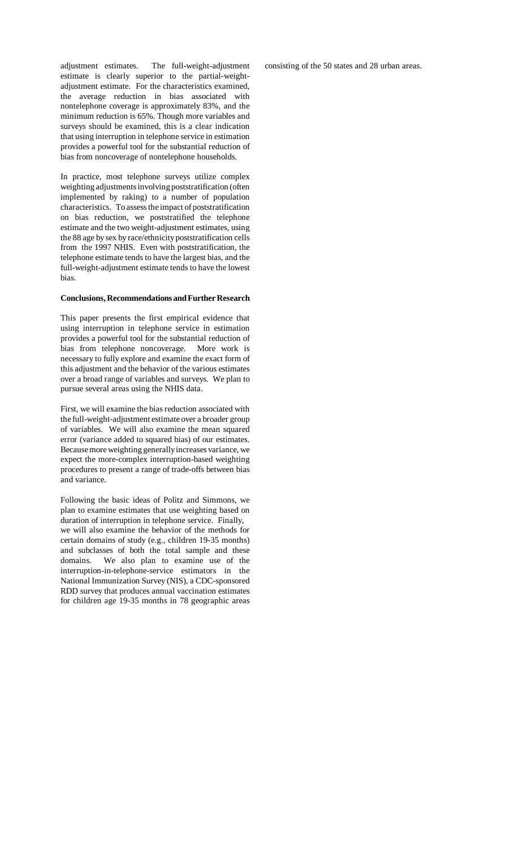adjustment estimates. The full-weight-adjustment estimate is clearly superior to the partial-weightadjustment estimate. For the characteristics examined, the average reduction in bias associated with nontelephone coverage is approximately 83%, and the minimum reduction is 65%. Though more variables and surveys should be examined, this is a clear indication that using interruption in telephone service in estimation provides a powerful tool for the substantial reduction of bias from noncoverage of nontelephone households.

In practice, most telephone surveys utilize complex weighting adjustments involving poststratification (often implemented by raking) to a number of population characteristics. To assess the impact of poststratification on bias reduction, we poststratified the telephone estimate and the two weight-adjustment estimates, using the 88 age by sex by race/ethnicity poststratification cells from the 1997 NHIS. Even with poststratification, the telephone estimate tends to have the largest bias, and the full-weight-adjustment estimate tends to have the lowest bias.

#### **Conclusions, Recommendations and Further Research**

This paper presents the first empirical evidence that using interruption in telephone service in estimation provides a powerful tool for the substantial reduction of bias from telephone noncoverage. More work is necessary to fully explore and examine the exact form of this adjustment and the behavior of the various estimates over a broad range of variables and surveys. We plan to pursue several areas using the NHIS data.

First, we will examine the bias reduction associated with the full-weight-adjustment estimate over a broader group of variables. We will also examine the mean squared error (variance added to squared bias) of our estimates. Because more weighting generally increases variance, we expect the more-complex interruption-based weighting procedures to present a range of trade-offs between bias and variance.

Following the basic ideas of Politz and Simmons, we plan to examine estimates that use weighting based on duration of interruption in telephone service. Finally, we will also examine the behavior of the methods for certain domains of study (e.g., children 19-35 months) and subclasses of both the total sample and these domains. We also plan to examine use of the interruption-in-telephone-service estimators in the National Immunization Survey (NIS), a CDC-sponsored RDD survey that produces annual vaccination estimates for children age 19-35 months in 78 geographic areas

consisting of the 50 states and 28 urban areas.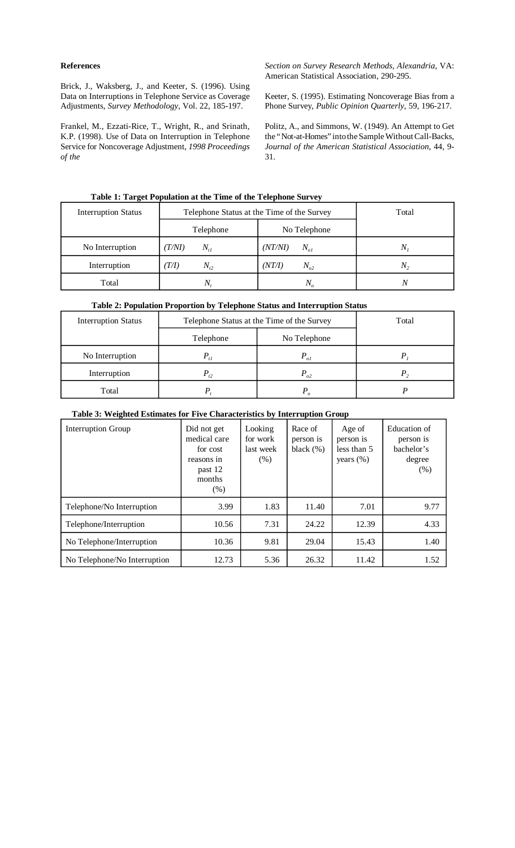### **References**

Brick, J., Waksberg, J., and Keeter, S. (1996). Using Data on Interruptions in Telephone Service as Coverage Adjustments, *Survey Methodology*, Vol. 22, 185-197.

Frankel, M., Ezzati-Rice, T., Wright, R., and Srinath, K.P. (1998). Use of Data on Interruption in Telephone Service for Noncoverage Adjustment, *1998 Proceedings of the* 

*Section on Survey Research Methods, Alexandria*, VA: American Statistical Association, 290-295.

Keeter, S. (1995). Estimating Noncoverage Bias from a Phone Survey, *Public Opinion Quarterly*, 59, 196-217.

Politz, A., and Simmons, W. (1949). An Attempt to Get the "Not-at-Homes" into the Sample Without Call-Backs, *Journal of the American Statistical Association*, 44, 9 31.

| <b>Interruption Status</b> | Telephone Status at the Time of the Survey | Total               |             |
|----------------------------|--------------------------------------------|---------------------|-------------|
|                            | Telephone                                  | No Telephone        |             |
| No Interruption            | (T/M)<br>$N_{t}$                           | (NT/NI)<br>$N_{ol}$ | $N_{\rm s}$ |
| Interruption               | (T/I)<br>$N_{t2}$                          | (NT/I)<br>$N_{o2}$  | $N_{2}$     |
| Total                      | IV.                                        | N.                  |             |

## **Table 2: Population Proportion by Telephone Status and Interruption Status**

| <b>Interruption Status</b> | Telephone Status at the Time of the Survey | Total    |  |
|----------------------------|--------------------------------------------|----------|--|
|                            | Telephone                                  |          |  |
| No Interruption            | $P_{t1}$                                   | $P_{ol}$ |  |
| Interruption               | $P_{t2}$                                   | $P_{a2}$ |  |
| Total                      |                                            |          |  |

# **Table 3: Weighted Estimates for Five Characteristics by Interruption Group**

| Interruption Group           | Did not get<br>medical care<br>for cost<br>reasons in<br>past 12<br>months<br>(% ) | Looking<br>for work<br>last week<br>$(\%)$ | Race of<br>person is<br>black $(\%)$ | Age of<br>person is<br>less than 5<br>years $(\%)$ | Education of<br>person is<br>bachelor's<br>degree<br>(% ) |
|------------------------------|------------------------------------------------------------------------------------|--------------------------------------------|--------------------------------------|----------------------------------------------------|-----------------------------------------------------------|
| Telephone/No Interruption    | 3.99                                                                               | 1.83                                       | 11.40                                | 7.01                                               | 9.77                                                      |
| Telephone/Interruption       | 10.56                                                                              | 7.31                                       | 24.22                                | 12.39                                              | 4.33                                                      |
| No Telephone/Interruption    | 10.36                                                                              | 9.81                                       | 29.04                                | 15.43                                              | 1.40                                                      |
| No Telephone/No Interruption | 12.73                                                                              | 5.36                                       | 26.32                                | 11.42                                              | 1.52                                                      |